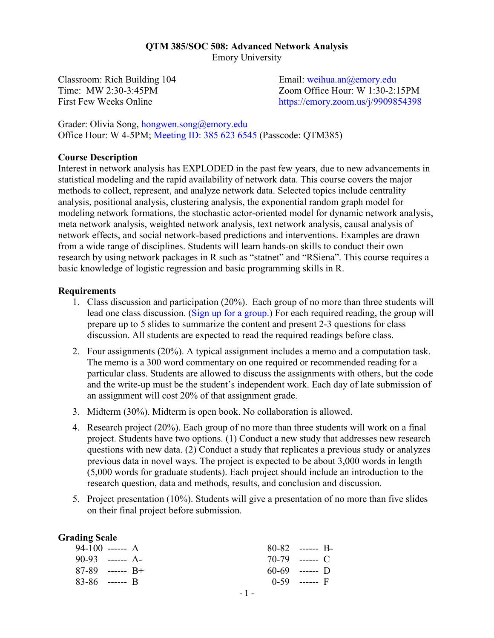#### **QTM 385/SOC 508: Advanced Network Analysis** Emory University

Classroom: Rich Building 104 Time: MW 2:30-3:45PM First Few Weeks Online

Email: [weihua.an@emory.edu](mailto:weihua.an@emory.edu) Zoom Office Hour: W 1:30-2:15PM <https://emory.zoom.us/j/9909854398>

Grader: Olivia Song, [hongwen.song@emory.edu](mailto:hongwen.song@emory.edu) Office Hour: W 4-5PM; [Meeting ID: 385 623 6545](https://zoom.us/j/3856236545?pwd=KzdZbFQvZkhkSnNIM2xQMFpESXUrZz09) (Passcode: QTM385)

#### **Course Description**

Interest in network analysis has EXPLODED in the past few years, due to new advancements in statistical modeling and the rapid availability of network data. This course covers the major methods to collect, represent, and analyze network data. Selected topics include centrality analysis, positional analysis, clustering analysis, the exponential random graph model for modeling network formations, the stochastic actor-oriented model for dynamic network analysis, meta network analysis, weighted network analysis, text network analysis, causal analysis of network effects, and social network-based predictions and interventions. Examples are drawn from a wide range of disciplines. Students will learn hands-on skills to conduct their own research by using network packages in R such as "statnet" and "RSiena". This course requires a basic knowledge of logistic regression and basic programming skills in R.

#### **Requirements**

- 1. Class discussion and participation (20%). Each group of no more than three students will lead one class discussion. [\(Sign up for a group.\)](https://docs.google.com/spreadsheets/d/1mOoyKYNxpQ1ZPdmFDz0RQpazfxbKjCOB9BAeUAPhAys/edit?usp=sharing) For each required reading, the group will prepare up to 5 slides to summarize the content and present 2-3 questions for class discussion. All students are expected to read the required readings before class.
- 2. Four assignments (20%). A typical assignment includes a memo and a computation task. The memo is a 300 word commentary on one required or recommended reading for a particular class. Students are allowed to discuss the assignments with others, but the code and the write-up must be the student's independent work. Each day of late submission of an assignment will cost 20% of that assignment grade.
- 3. Midterm (30%). Midterm is open book. No collaboration is allowed.
- 4. Research project (20%). Each group of no more than three students will work on a final project. Students have two options. (1) Conduct a new study that addresses new research questions with new data. (2) Conduct a study that replicates a previous study or analyzes previous data in novel ways. The project is expected to be about 3,000 words in length (5,000 words for graduate students). Each project should include an introduction to the research question, data and methods, results, and conclusion and discussion.
- 5. Project presentation (10%). Students will give a presentation of no more than five slides on their final project before submission.

### **Grading Scale**

| $94-100$ ------ A |  |  | $80-82$ ------ B- |  |
|-------------------|--|--|-------------------|--|
| $90-93$ ------ A- |  |  | 70-79 ------ C    |  |
| $87-89$ ------ R+ |  |  | $60-69$ ------ D  |  |
| $83-86$ ------ B  |  |  | $0-59$ ------ F   |  |
|                   |  |  |                   |  |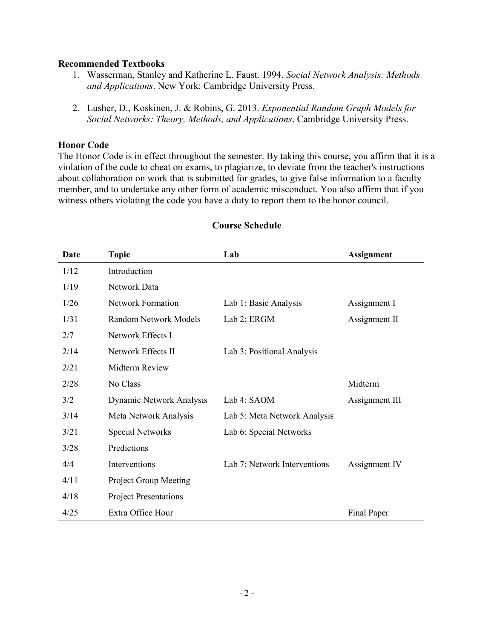## **Recommended Textbooks**

- 1. Wasserman, Stanley and Katherine L. Faust. 1994. *Social Network Analysis: Methods and Applications*. New York: Cambridge University Press.
- 2. Lusher, D., Koskinen, J. & Robins, G. 2013. *Exponential Random Graph Models for Social Networks: Theory, Methods, and Applications*. Cambridge University Press.

## **Honor Code**

The Honor Code is in effect throughout the semester. By taking this course, you affirm that it is a violation of the code to cheat on exams, to plagiarize, to deviate from the teacher's instructions about collaboration on work that is submitted for grades, to give false information to a faculty member, and to undertake any other form of academic misconduct. You also affirm that if you witness others violating the code you have a duty to report them to the honor council.

| Date | <b>Topic</b>                 | Lab                          | <b>Assignment</b> |
|------|------------------------------|------------------------------|-------------------|
| 1/12 | Introduction                 |                              |                   |
| 1/19 | Network Data                 |                              |                   |
| 1/26 | <b>Network Formation</b>     | Lab 1: Basic Analysis        | Assignment I      |
| 1/31 | Random Network Models        | Lab 2: ERGM                  | Assignment II     |
| 2/7  | Network Effects I            |                              |                   |
| 2/14 | Network Effects II           | Lab 3: Positional Analysis   |                   |
| 2/21 | Midterm Review               |                              |                   |
| 2/28 | No Class                     |                              | Midterm           |
| 3/2  | Dynamic Network Analysis     | Lab 4: SAOM                  | Assignment III    |
| 3/14 | Meta Network Analysis        | Lab 5: Meta Network Analysis |                   |
| 3/21 | Special Networks             | Lab 6: Special Networks      |                   |
| 3/28 | Predictions                  |                              |                   |
| 4/4  | Interventions                | Lab 7: Network Interventions | Assignment IV     |
| 4/11 | Project Group Meeting        |                              |                   |
| 4/18 | <b>Project Presentations</b> |                              |                   |
| 4/25 | Extra Office Hour            |                              | Final Paper       |

# **Course Schedule**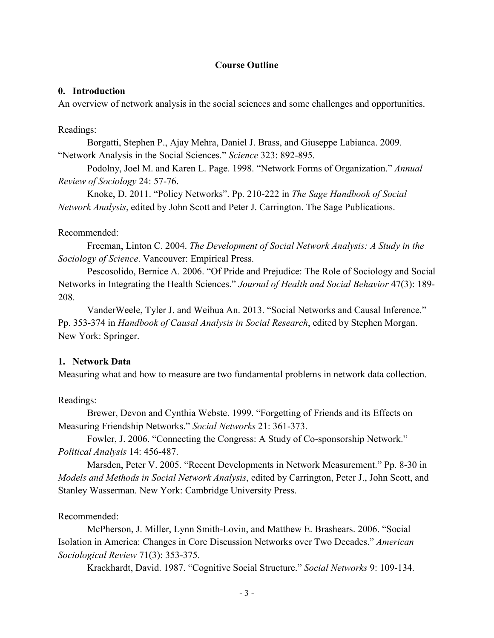## **Course Outline**

### **0. Introduction**

An overview of network analysis in the social sciences and some challenges and opportunities.

### Readings:

Borgatti, Stephen P., Ajay Mehra, Daniel J. Brass, and Giuseppe Labianca. 2009. "Network Analysis in the Social Sciences." *Science* 323: 892-895.

Podolny, Joel M. and Karen L. Page. 1998. "Network Forms of Organization." *Annual Review of Sociology* 24: 57-76.

Knoke, D. 2011. "Policy Networks". Pp. 210-222 in *The Sage Handbook of Social Network Analysis*, edited by John Scott and Peter J. Carrington. The Sage Publications.

### Recommended:

Freeman, Linton C. 2004. *The Development of Social Network Analysis: A Study in the Sociology of Science*. Vancouver: Empirical Press.

Pescosolido, Bernice A. 2006. "Of Pride and Prejudice: The Role of Sociology and Social Networks in Integrating the Health Sciences." *Journal of Health and Social Behavior* 47(3): 189- 208.

VanderWeele, Tyler J. and Weihua An. 2013. "Social Networks and Causal Inference." Pp. 353-374 in *Handbook of Causal Analysis in Social Research*, edited by Stephen Morgan. New York: Springer.

## **1. Network Data**

Measuring what and how to measure are two fundamental problems in network data collection.

#### Readings:

Brewer, Devon and Cynthia Webste. 1999. "Forgetting of Friends and its Effects on Measuring Friendship Networks." *Social Networks* 21: 361-373.

Fowler, J. 2006. "Connecting the Congress: A Study of Co-sponsorship Network." *Political Analysis* 14: 456-487.

Marsden, Peter V. 2005. "Recent Developments in Network Measurement." Pp. 8-30 in *Models and Methods in Social Network Analysis*, edited by Carrington, Peter J., John Scott, and Stanley Wasserman. New York: Cambridge University Press.

## Recommended:

McPherson, J. Miller, Lynn Smith-Lovin, and Matthew E. Brashears. 2006. "Social Isolation in America: Changes in Core Discussion Networks over Two Decades." *American Sociological Review* 71(3): 353-375.

Krackhardt, David. 1987. "Cognitive Social Structure." *Social Networks* 9: 109-134.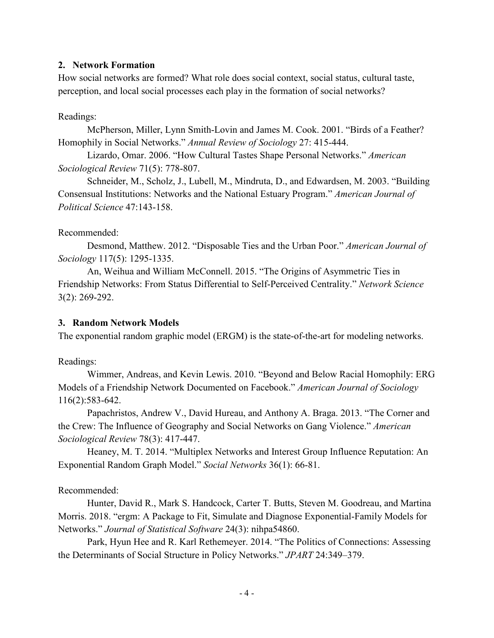## **2. Network Formation**

How social networks are formed? What role does social context, social status, cultural taste, perception, and local social processes each play in the formation of social networks?

# Readings:

McPherson, Miller, Lynn Smith-Lovin and James M. Cook. 2001. "Birds of a Feather? Homophily in Social Networks." *Annual Review of Sociology* 27: 415-444.

Lizardo, Omar. 2006. "How Cultural Tastes Shape Personal Networks." *American Sociological Review* 71(5): 778-807.

Schneider, M., Scholz, J., Lubell, M., Mindruta, D., and Edwardsen, M. 2003. "Building Consensual Institutions: Networks and the National Estuary Program." *American Journal of Political Science* 47:143-158.

# Recommended:

Desmond, Matthew. 2012. "Disposable Ties and the Urban Poor." *American Journal of Sociology* 117(5): 1295-1335.

An, Weihua and William McConnell. 2015. "The Origins of Asymmetric Ties in Friendship Networks: From Status Differential to Self-Perceived Centrality." *Network Science* 3(2): 269-292.

# **3. Random Network Models**

The exponential random graphic model (ERGM) is the state-of-the-art for modeling networks.

Readings:

Wimmer, Andreas, and Kevin Lewis. 2010. "Beyond and Below Racial Homophily: ERG Models of a Friendship Network Documented on Facebook." *American Journal of Sociology* 116(2):583-642.

Papachristos, Andrew V., David Hureau, and Anthony A. Braga. 2013. "The Corner and the Crew: The Influence of Geography and Social Networks on Gang Violence." *American Sociological Review* 78(3): 417-447.

Heaney, M. T. 2014. "Multiplex Networks and Interest Group Influence Reputation: An Exponential Random Graph Model." *Social Networks* 36(1): 66-81.

# Recommended:

Hunter, David R., Mark S. Handcock, Carter T. Butts, Steven M. Goodreau, and Martina Morris. 2018. "ergm: A Package to Fit, Simulate and Diagnose Exponential-Family Models for Networks." *Journal of Statistical Software* 24(3): nihpa54860.

Park, Hyun Hee and R. Karl Rethemeyer. 2014. "The Politics of Connections: Assessing the Determinants of Social Structure in Policy Networks." *JPART* 24:349–379.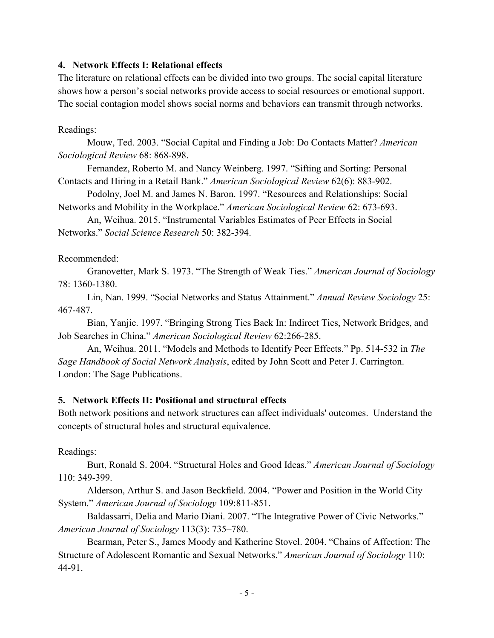## **4. Network Effects I: Relational effects**

The literature on relational effects can be divided into two groups. The social capital literature shows how a person's social networks provide access to social resources or emotional support. The social contagion model shows social norms and behaviors can transmit through networks.

Readings:

Mouw, Ted. 2003. "Social Capital and Finding a Job: Do Contacts Matter? *American Sociological Review* 68: 868-898.

Fernandez, Roberto M. and Nancy Weinberg. 1997. "Sifting and Sorting: Personal Contacts and Hiring in a Retail Bank." *American Sociological Review* 62(6): 883-902.

Podolny, Joel M. and James N. Baron. 1997. "Resources and Relationships: Social Networks and Mobility in the Workplace." *American Sociological Review* 62: 673-693.

An, Weihua. 2015. "Instrumental Variables Estimates of Peer Effects in Social Networks." *Social Science Research* 50: 382-394.

### Recommended:

Granovetter, Mark S. 1973. "The Strength of Weak Ties." *American Journal of Sociology* 78: 1360-1380.

Lin, Nan. 1999. "Social Networks and Status Attainment." *Annual Review Sociology* 25: 467-487.

Bian, Yanjie. 1997. "Bringing Strong Ties Back In: Indirect Ties, Network Bridges, and Job Searches in China." *American Sociological Review* 62:266-285.

An, Weihua. 2011. "Models and Methods to Identify Peer Effects." Pp. 514-532 in *The Sage Handbook of Social Network Analysis*, edited by John Scott and Peter J. Carrington. London: The Sage Publications.

## **5. Network Effects II: Positional and structural effects**

Both network positions and network structures can affect individuals' outcomes. Understand the concepts of structural holes and structural equivalence.

Readings:

Burt, Ronald S. 2004. "Structural Holes and Good Ideas." *American Journal of Sociology* 110: 349-399.

Alderson, Arthur S. and Jason Beckfield. 2004. "Power and Position in the World City System." *American Journal of Sociology* 109:811-851.

Baldassarri, Delia and Mario Diani. 2007. "The Integrative Power of Civic Networks." *American Journal of Sociology* 113(3): 735–780.

Bearman, Peter S., James Moody and Katherine Stovel. 2004. "Chains of Affection: The Structure of Adolescent Romantic and Sexual Networks." *American Journal of Sociology* 110: 44-91.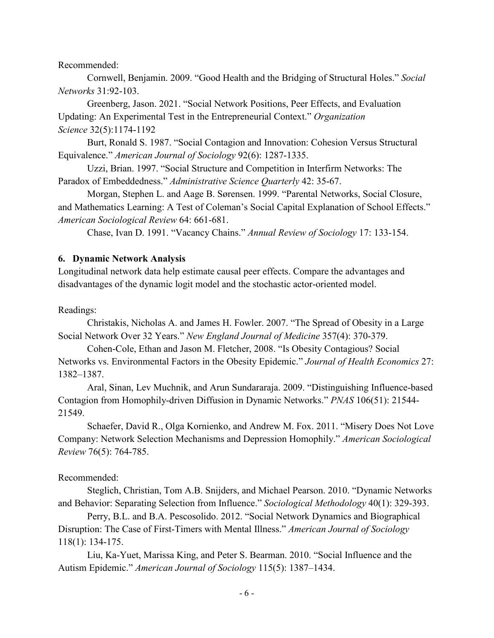Recommended:

Cornwell, Benjamin. 2009. "Good Health and the Bridging of Structural Holes." *Social Networks* 31:92-103.

Greenberg, Jason. 2021. "Social Network Positions, Peer Effects, and Evaluation Updating: An Experimental Test in the Entrepreneurial Context." *Organization Science* 32(5):1174-1192

Burt, Ronald S. 1987. "Social Contagion and Innovation: Cohesion Versus Structural Equivalence." *American Journal of Sociology* 92(6): 1287-1335.

Uzzi, Brian. 1997. "Social Structure and Competition in Interfirm Networks: The Paradox of Embeddedness." *Administrative Science Quarterly* 42: 35-67.

Morgan, Stephen L. and Aage B. Sørensen. 1999. "Parental Networks, Social Closure, and Mathematics Learning: A Test of Coleman's Social Capital Explanation of School Effects." *American Sociological Review* 64: 661-681.

Chase, Ivan D. 1991. "Vacancy Chains." *Annual Review of Sociology* 17: 133-154.

#### **6. Dynamic Network Analysis**

Longitudinal network data help estimate causal peer effects. Compare the advantages and disadvantages of the dynamic logit model and the stochastic actor-oriented model.

Readings:

Christakis, Nicholas A. and James H. Fowler. 2007. "The Spread of Obesity in a Large Social Network Over 32 Years." *New England Journal of Medicine* 357(4): 370-379.

Cohen-Cole, Ethan and Jason M. Fletcher, 2008. "Is Obesity Contagious? Social Networks vs. Environmental Factors in the Obesity Epidemic." *Journal of Health Economics* 27: 1382–1387.

Aral, Sinan, Lev Muchnik, and Arun Sundararaja. 2009. "Distinguishing Influence-based Contagion from Homophily-driven Diffusion in Dynamic Networks." *PNAS* 106(51): 21544- 21549.

Schaefer, David R., Olga Kornienko, and Andrew M. Fox. 2011. "Misery Does Not Love Company: Network Selection Mechanisms and Depression Homophily." *American Sociological Review* 76(5): 764-785.

#### Recommended:

Steglich, Christian, Tom A.B. Snijders, and Michael Pearson. 2010. "Dynamic Networks and Behavior: Separating Selection from Influence." *Sociological Methodology* 40(1): 329-393.

Perry, B.L. and B.A. Pescosolido. 2012. "Social Network Dynamics and Biographical Disruption: The Case of First-Timers with Mental Illness." *American Journal of Sociology* 118(1): 134-175.

Liu, Ka-Yuet, Marissa King, and Peter S. Bearman. 2010. "Social Influence and the Autism Epidemic." *American Journal of Sociology* 115(5): 1387–1434.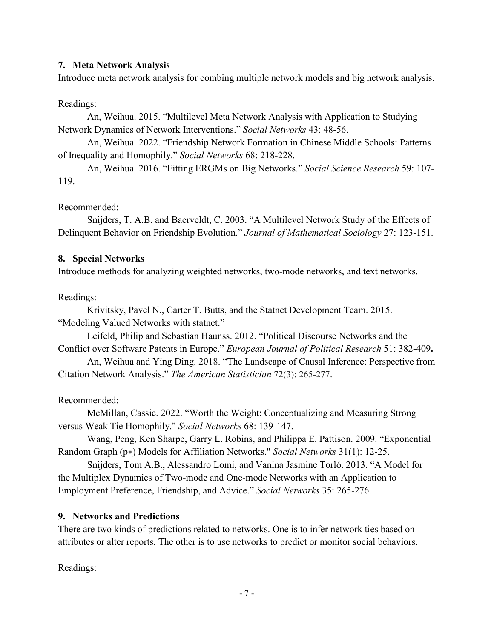# **7. Meta Network Analysis**

Introduce meta network analysis for combing multiple network models and big network analysis.

Readings:

An, Weihua. 2015. "Multilevel Meta Network Analysis with Application to Studying Network Dynamics of Network Interventions." *Social Networks* 43: 48-56.

An, Weihua. 2022. "Friendship Network Formation in Chinese Middle Schools: Patterns of Inequality and Homophily." *Social Networks* 68: 218-228.

An, Weihua. 2016. "Fitting ERGMs on Big Networks." *Social Science Research* 59: 107- 119.

## Recommended:

Snijders, T. A.B. and Baerveldt, C. 2003. "A Multilevel Network Study of the Effects of Delinquent Behavior on Friendship Evolution." *Journal of Mathematical Sociology* 27: 123-151.

## **8. Special Networks**

Introduce methods for analyzing weighted networks, two-mode networks, and text networks.

## Readings:

Krivitsky, Pavel N., Carter T. Butts, and the Statnet Development Team. 2015. "Modeling Valued Networks with statnet."

Leifeld, Philip and Sebastian Haunss. 2012. "Political Discourse Networks and the Conflict over Software Patents in Europe." *European Journal of Political Research* 51: 382-409**.**

An, Weihua and Ying Ding. 2018. "The Landscape of Causal Inference: Perspective from Citation Network Analysis." *The American Statistician* 72(3): 265-277.

# Recommended:

McMillan, Cassie. 2022. "Worth the Weight: Conceptualizing and Measuring Strong versus Weak Tie Homophily." *Social Networks* 68: 139-147.

Wang, Peng, Ken Sharpe, Garry L. Robins, and Philippa E. Pattison. 2009. "Exponential Random Graph (p∗) Models for Affiliation Networks." *Social Networks* 31(1): 12-25.

Snijders, Tom A.B., Alessandro Lomi, and Vanina Jasmine Torló. 2013. "A Model for the Multiplex Dynamics of Two-mode and One-mode Networks with an Application to Employment Preference, Friendship, and Advice." *Social Networks* 35: 265-276.

# **9. Networks and Predictions**

There are two kinds of predictions related to networks. One is to infer network ties based on attributes or alter reports. The other is to use networks to predict or monitor social behaviors.

Readings: